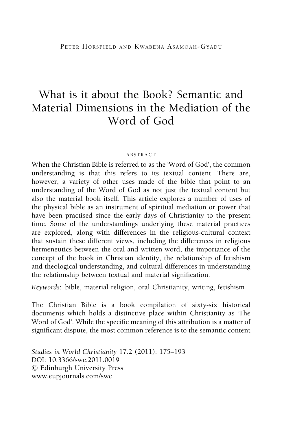# What is it about the Book? Semantic and Material Dimensions in the Mediation of the Word of God

#### ABSTRACT

When the Christian Bible is referred to as the 'Word of God', the common understanding is that this refers to its textual content. There are, however, a variety of other uses made of the bible that point to an understanding of the Word of God as not just the textual content but also the material book itself. This article explores a number of uses of the physical bible as an instrument of spiritual mediation or power that have been practised since the early days of Christianity to the present time. Some of the understandings underlying these material practices are explored, along with differences in the religious-cultural context that sustain these different views, including the differences in religious hermeneutics between the oral and written word, the importance of the concept of the book in Christian identity, the relationship of fetishism and theological understanding, and cultural differences in understanding the relationship between textual and material signification.

Keywords: bible, material religion, oral Christianity, writing, fetishism

The Christian Bible is a book compilation of sixty-six historical documents which holds a distinctive place within Christianity as 'The Word of God'. While the specific meaning of this attribution is a matter of significant dispute, the most common reference is to the semantic content

Studies in World Christianity 17.2 (2011): 175–193 DOI: 10.3366/swc.2011.0019 *#* Edinburgh University Press www.eupjournals.com/swc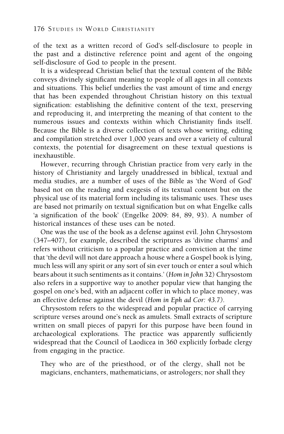of the text as a written record of God's self-disclosure to people in the past and a distinctive reference point and agent of the ongoing self-disclosure of God to people in the present.

It is a widespread Christian belief that the textual content of the Bible conveys divinely significant meaning to people of all ages in all contexts and situations. This belief underlies the vast amount of time and energy that has been expended throughout Christian history on this textual signification: establishing the definitive content of the text, preserving and reproducing it, and interpreting the meaning of that content to the numerous issues and contexts within which Christianity finds itself. Because the Bible is a diverse collection of texts whose writing, editing and compilation stretched over 1,000 years and over a variety of cultural contexts, the potential for disagreement on these textual questions is inexhaustible.

However, recurring through Christian practice from very early in the history of Christianity and largely unaddressed in biblical, textual and media studies, are a number of uses of the Bible as 'the Word of God' based not on the reading and exegesis of its textual content but on the physical use of its material form including its talismanic uses. These uses are based not primarily on textual signification but on what Engelke calls 'a signification of the book' (Engelke 2009: 84, 89, 93). A number of historical instances of these uses can be noted.

One was the use of the book as a defense against evil. John Chrysostom (347–407), for example, described the scriptures as 'divine charms' and refers without criticism to a popular practice and conviction at the time that 'the devil will not dare approach a house where a Gospel book is lying, much less will any spirit or any sort of sin ever touch or enter a soul which bears about it such sentiments as it contains.' (Hom in John 32) Chrysostom also refers in a supportive way to another popular view that hanging the gospel on one's bed, with an adjacent coffer in which to place money, was an effective defense against the devil (Hom in Eph ad Cor: 43.7).

Chrysostom refers to the widespread and popular practice of carrying scripture verses around one's neck as amulets. Small extracts of scripture written on small pieces of papyri for this purpose have been found in archaeological explorations. The practice was apparently sufficiently widespread that the Council of Laodicea in 360 explicitly forbade clergy from engaging in the practice.

They who are of the priesthood, or of the clergy, shall not be magicians, enchanters, mathematicians, or astrologers; nor shall they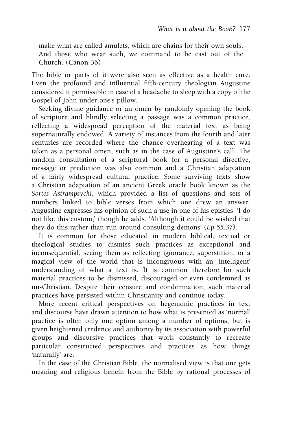make what are called amulets, which are chains for their own souls. And those who wear such, we command to be cast out of the Church. (Canon 36)

The bible or parts of it were also seen as effective as a health cure. Even the profound and influential fifth-century theologian Augustine considered it permissible in case of a headache to sleep with a copy of the Gospel of John under one's pillow.

Seeking divine guidance or an omen by randomly opening the book of scripture and blindly selecting a passage was a common practice, reflecting a widespread perception of the material text as being supernaturally endowed. A variety of instances from the fourth and later centuries are recorded where the chance overhearing of a text was taken as a personal omen, such as in the case of Augustine's call. The random consultation of a scriptural book for a personal directive, message or prediction was also common and a Christian adaptation of a fairly widespread cultural practice. Some surviving texts show a Christian adaptation of an ancient Greek oracle book known as the Sortes Astrampsychi, which provided a list of questions and sets of numbers linked to bible verses from which one drew an answer. Augustine expresses his opinion of such a use in one of his epistles: 'I do not like this custom,' though he adds, 'Although it could be wished that they do this rather than run around consulting demons' (Ep 55.37).

It is common for those educated in modern biblical, textual or theological studies to dismiss such practices as exceptional and inconsequential, seeing them as reflecting ignorance, superstition, or a magical view of the world that is incongruous with an 'intelligent' understanding of what a text is. It is common therefore for such material practices to be dismissed, discouraged or even condemned as un-Christian. Despite their censure and condemnation, such material practices have persisted within Christianity and continue today.

More recent critical perspectives on hegemonic practices in text and discourse have drawn attention to how what is presented as 'normal' practice is often only one option among a number of options, but is given heightened credence and authority by its association with powerful groups and discursive practices that work constantly to recreate particular constructed perspectives and practices as how things 'naturally' are.

In the case of the Christian Bible, the normalised view is that one gets meaning and religious benefit from the Bible by rational processes of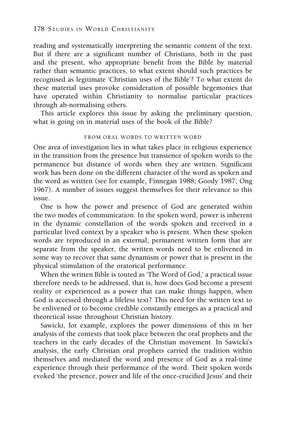reading and systematically interpreting the semantic content of the text. But if there are a significant number of Christians, both in the past and the present, who appropriate benefit from the Bible by material rather than semantic practices, to what extent should such practices be recognised as legitimate 'Christian uses of the Bible'? To what extent do these material uses provoke consideration of possible hegemonies that have operated within Christianity to normalise particular practices through ab-normalising others.

This article explores this issue by asking the preliminary question, what is going on in material uses of the book of the Bible?

## FROM ORAL WORDS TO WRITTEN WORD

One area of investigation lies in what takes place in religious experience in the transition from the presence but transience of spoken words to the permanence but distance of words when they are written. Significant work has been done on the different character of the word as spoken and the word as written (see for example, Finnegan 1988; Goody 1987; Ong 1967). A number of issues suggest themselves for their relevance to this issue.

One is how the power and presence of God are generated within the two modes of communication. In the spoken word, power is inherent in the dynamic constellation of the words spoken and received in a particular lived context by a speaker who is present. When these spoken words are reproduced in an external, permanent written form that are separate from the speaker, the written words need to be enlivened in some way to recover that same dynamism or power that is present in the physical stimulation of the oratorical performance.

When the written Bible is touted as 'The Word of God,' a practical issue therefore needs to be addressed, that is, how does God become a present reality or experienced as a power that can make things happen, when God is accessed through a lifeless text? This need for the written text to be enlivened or to become credible constantly emerges as a practical and theoretical issue throughout Christian history.

Sawicki, for example, explores the power dimensions of this in her analysis of the contests that took place between the oral prophets and the teachers in the early decades of the Christian movement. In Sawicki's analysis, the early Christian oral prophets carried the tradition within themselves and mediated the word and presence of God as a real-time experience through their performance of the word. Their spoken words evoked 'the presence, power and life of the once-crucified Jesus' and their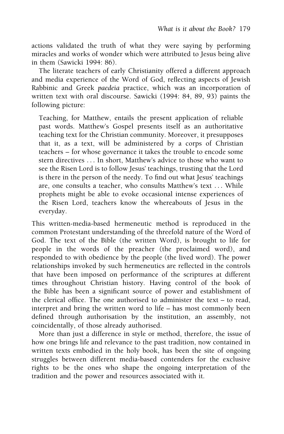actions validated the truth of what they were saying by performing miracles and works of wonder which were attributed to Jesus being alive in them (Sawicki 1994: 86).

The literate teachers of early Christianity offered a different approach and media experience of the Word of God, reflecting aspects of Jewish Rabbinic and Greek paedeia practice, which was an incorporation of written text with oral discourse. Sawicki (1994: 84, 89, 93) paints the following picture:

Teaching, for Matthew, entails the present application of reliable past words. Matthew's Gospel presents itself as an authoritative teaching text for the Christian community. Moreover, it presupposes that it, as a text, will be administered by a corps of Christian teachers – for whose governance it takes the trouble to encode some stern directives ... In short, Matthew's advice to those who want to see the Risen Lord is to follow Jesus' teachings, trusting that the Lord is there in the person of the needy. To find out what Jesus' teachings are, one consults a teacher, who consults Matthew's text ... While prophets might be able to evoke occasional intense experiences of the Risen Lord, teachers know the whereabouts of Jesus in the everyday.

This written-media-based hermeneutic method is reproduced in the common Protestant understanding of the threefold nature of the Word of God. The text of the Bible (the written Word), is brought to life for people in the words of the preacher (the proclaimed word), and responded to with obedience by the people (the lived word). The power relationships invoked by such hermeneutics are reflected in the controls that have been imposed on performance of the scriptures at different times throughout Christian history. Having control of the book of the Bible has been a significant source of power and establishment of the clerical office. The one authorised to administer the text – to read, interpret and bring the written word to life – has most commonly been defined through authorisation by the institution, an assembly, not coincidentally, of those already authorised.

More than just a difference in style or method, therefore, the issue of how one brings life and relevance to the past tradition, now contained in written texts embodied in the holy book, has been the site of ongoing struggles between different media-based contenders for the exclusive rights to be the ones who shape the ongoing interpretation of the tradition and the power and resources associated with it.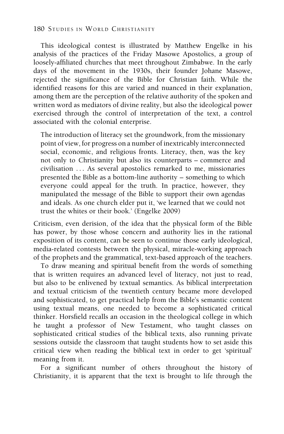## 180 STUDIES IN WORLD CHRISTIANITY

This ideological contest is illustrated by Matthew Engelke in his analysis of the practices of the Friday Masowe Apostolics, a group of loosely-affiliated churches that meet throughout Zimbabwe. In the early days of the movement in the 1930s, their founder Johane Masowe, rejected the significance of the Bible for Christian faith. While the identified reasons for this are varied and nuanced in their explanation, among them are the perception of the relative authority of the spoken and written word as mediators of divine reality, but also the ideological power exercised through the control of interpretation of the text, a control associated with the colonial enterprise.

The introduction of literacy set the groundwork, from the missionary point of view, for progress on a number of inextricably interconnected social, economic, and religious fronts. Literacy, then, was the key not only to Christianity but also its counterparts – commerce and civilisation ... As several apostolics remarked to me, missionaries presented the Bible as a bottom-line authority – something to which everyone could appeal for the truth. In practice, however, they manipulated the message of the Bible to support their own agendas and ideals. As one church elder put it, 'we learned that we could not trust the whites or their book.' (Engelke 2009)

Criticism, even derision, of the idea that the physical form of the Bible has power, by those whose concern and authority lies in the rational exposition of its content, can be seen to continue those early ideological, media-related contests between the physical, miracle-working approach of the prophets and the grammatical, text-based approach of the teachers.

To draw meaning and spiritual benefit from the words of something that is written requires an advanced level of literacy, not just to read, but also to be enlivened by textual semantics. As biblical interpretation and textual criticism of the twentieth century became more developed and sophisticated, to get practical help from the Bible's semantic content using textual means, one needed to become a sophisticated critical thinker. Horsfield recalls an occasion in the theological college in which he taught a professor of New Testament, who taught classes on sophisticated critical studies of the biblical texts, also running private sessions outside the classroom that taught students how to set aside this critical view when reading the biblical text in order to get 'spiritual' meaning from it.

For a significant number of others throughout the history of Christianity, it is apparent that the text is brought to life through the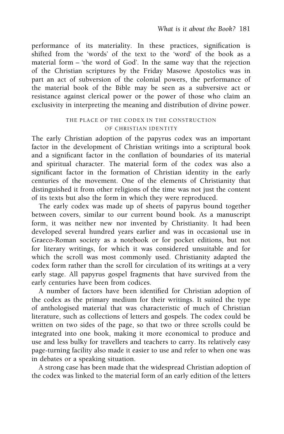performance of its materiality. In these practices, signification is shifted from the 'words' of the text to the 'word' of the book as a material form – 'the word of God'. In the same way that the rejection of the Christian scriptures by the Friday Masowe Apostolics was in part an act of subversion of the colonial powers, the performance of the material book of the Bible may be seen as a subversive act or resistance against clerical power or the power of those who claim an exclusivity in interpreting the meaning and distribution of divine power.

## THE PLACE OF THE CODEX IN THE CONSTRUCTION OF CHRISTIAN IDENTITY

The early Christian adoption of the papyrus codex was an important factor in the development of Christian writings into a scriptural book and a significant factor in the conflation of boundaries of its material and spiritual character. The material form of the codex was also a significant factor in the formation of Christian identity in the early centuries of the movement. One of the elements of Christianity that distinguished it from other religions of the time was not just the content of its texts but also the form in which they were reproduced.

The early codex was made up of sheets of papyrus bound together between covers, similar to our current bound book. As a manuscript form, it was neither new nor invented by Christianity. It had been developed several hundred years earlier and was in occasional use in Graeco-Roman society as a notebook or for pocket editions, but not for literary writings, for which it was considered unsuitable and for which the scroll was most commonly used. Christianity adapted the codex form rather than the scroll for circulation of its writings at a very early stage. All papyrus gospel fragments that have survived from the early centuries have been from codices.

A number of factors have been identified for Christian adoption of the codex as the primary medium for their writings. It suited the type of anthologised material that was characteristic of much of Christian literature, such as collections of letters and gospels. The codex could be written on two sides of the page, so that two or three scrolls could be integrated into one book, making it more economical to produce and use and less bulky for travellers and teachers to carry. Its relatively easy page-turning facility also made it easier to use and refer to when one was in debates or a speaking situation.

A strong case has been made that the widespread Christian adoption of the codex was linked to the material form of an early edition of the letters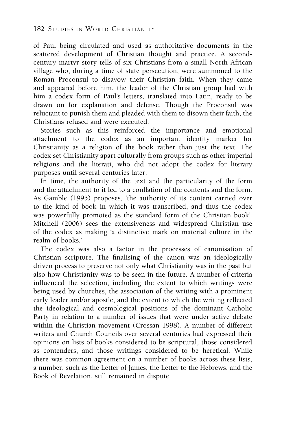of Paul being circulated and used as authoritative documents in the scattered development of Christian thought and practice. A secondcentury martyr story tells of six Christians from a small North African village who, during a time of state persecution, were summoned to the Roman Proconsul to disavow their Christian faith. When they came and appeared before him, the leader of the Christian group had with him a codex form of Paul's letters, translated into Latin, ready to be drawn on for explanation and defense. Though the Proconsul was reluctant to punish them and pleaded with them to disown their faith, the Christians refused and were executed.

Stories such as this reinforced the importance and emotional attachment to the codex as an important identity marker for Christianity as a religion of the book rather than just the text. The codex set Christianity apart culturally from groups such as other imperial religions and the literati, who did not adopt the codex for literary purposes until several centuries later.

In time, the authority of the text and the particularity of the form and the attachment to it led to a conflation of the contents and the form. As Gamble (1995) proposes, 'the authority of its content carried over to the kind of book in which it was transcribed, and thus the codex was powerfully promoted as the standard form of the Christian book'. Mitchell (2006) sees the extensiveness and widespread Christian use of the codex as making 'a distinctive mark on material culture in the realm of books.'

The codex was also a factor in the processes of canonisation of Christian scripture. The finalising of the canon was an ideologically driven process to preserve not only what Christianity was in the past but also how Christianity was to be seen in the future. A number of criteria influenced the selection, including the extent to which writings were being used by churches, the association of the writing with a prominent early leader and/or apostle, and the extent to which the writing reflected the ideological and cosmological positions of the dominant Catholic Party in relation to a number of issues that were under active debate within the Christian movement (Crossan 1998). A number of different writers and Church Councils over several centuries had expressed their opinions on lists of books considered to be scriptural, those considered as contenders, and those writings considered to be heretical. While there was common agreement on a number of books across these lists, a number, such as the Letter of James, the Letter to the Hebrews, and the Book of Revelation, still remained in dispute.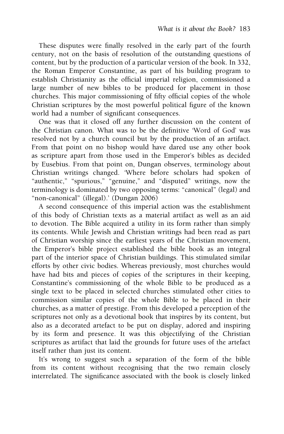These disputes were finally resolved in the early part of the fourth century, not on the basis of resolution of the outstanding questions of content, but by the production of a particular version of the book. In 332, the Roman Emperor Constantine, as part of his building program to establish Christianity as the official imperial religion, commissioned a large number of new bibles to be produced for placement in those churches. This major commissioning of fifty official copies of the whole Christian scriptures by the most powerful political figure of the known world had a number of significant consequences.

One was that it closed off any further discussion on the content of the Christian canon. What was to be the definitive 'Word of God' was resolved not by a church council but by the production of an artifact. From that point on no bishop would have dared use any other book as scripture apart from those used in the Emperor's bibles as decided by Eusebius. From that point on, Dungan observes, terminology about Christian writings changed. 'Where before scholars had spoken of "authentic," "spurious," "genuine," and "disputed" writings, now the terminology is dominated by two opposing terms: "canonical" (legal) and "non-canonical" (illegal).' (Dungan 2006)

A second consequence of this imperial action was the establishment of this body of Christian texts as a material artifact as well as an aid to devotion. The Bible acquired a utility in its form rather than simply its contents. While Jewish and Christian writings had been read as part of Christian worship since the earliest years of the Christian movement, the Emperor's bible project established the bible book as an integral part of the interior space of Christian buildings. This stimulated similar efforts by other civic bodies. Whereas previously, most churches would have had bits and pieces of copies of the scriptures in their keeping, Constantine's commissioning of the whole Bible to be produced as a single text to be placed in selected churches stimulated other cities to commission similar copies of the whole Bible to be placed in their churches, as a matter of prestige. From this developed a perception of the scriptures not only as a devotional book that inspires by its content, but also as a decorated artefact to be put on display, adored and inspiring by its form and presence. It was this objectifying of the Christian scriptures as artifact that laid the grounds for future uses of the artefact itself rather than just its content.

It's wrong to suggest such a separation of the form of the bible from its content without recognising that the two remain closely interrelated. The significance associated with the book is closely linked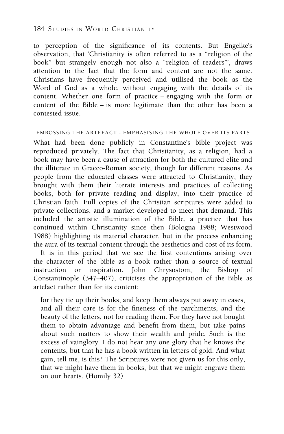## 184 STUDIES IN WORLD CHRISTIANITY

to perception of the significance of its contents. But Engelke's observation, that 'Christianity is often referred to as a "religion of the book" but strangely enough not also a "religion of readers"', draws attention to the fact that the form and content are not the same. Christians have frequently perceived and utilised the book as the Word of God as a whole, without engaging with the details of its content. Whether one form of practice – engaging with the form or content of the Bible – is more legitimate than the other has been a contested issue.

#### EMBOSSING THE ARTEFACT - EMPHASISING THE WHOLE OVER ITS PARTS

What had been done publicly in Constantine's bible project was reproduced privately. The fact that Christianity, as a religion, had a book may have been a cause of attraction for both the cultured elite and the illiterate in Graeco-Roman society, though for different reasons. As people from the educated classes were attracted to Christianity, they brought with them their literate interests and practices of collecting books, both for private reading and display, into their practice of Christian faith. Full copies of the Christian scriptures were added to private collections, and a market developed to meet that demand. This included the artistic illumination of the Bible, a practice that has continued within Christianity since then (Bologna 1988; Westwood 1988) highlighting its material character, but in the process enhancing the aura of its textual content through the aesthetics and cost of its form.

It is in this period that we see the first contentions arising over the character of the bible as a book rather than a source of textual instruction or inspiration. John Chrysostom, the Bishop of Constantinople (347–407), criticises the appropriation of the Bible as artefact rather than for its content:

for they tie up their books, and keep them always put away in cases, and all their care is for the fineness of the parchments, and the beauty of the letters, not for reading them. For they have not bought them to obtain advantage and benefit from them, but take pains about such matters to show their wealth and pride. Such is the excess of vainglory. I do not hear any one glory that he knows the contents, but that he has a book written in letters of gold. And what gain, tell me, is this? The Scriptures were not given us for this only, that we might have them in books, but that we might engrave them on our hearts. (Homily 32)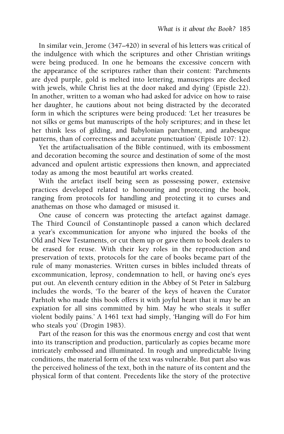In similar vein, Jerome (347–420) in several of his letters was critical of the indulgence with which the scriptures and other Christian writings were being produced. In one he bemoans the excessive concern with the appearance of the scriptures rather than their content: 'Parchments are dyed purple, gold is melted into lettering, manuscripts are decked with jewels, while Christ lies at the door naked and dying' (Epistle 22). In another, written to a woman who had asked for advice on how to raise her daughter, he cautions about not being distracted by the decorated form in which the scriptures were being produced: 'Let her treasures be not silks or gems but manuscripts of the holy scriptures; and in these let her think less of gilding, and Babylonian parchment, and arabesque patterns, than of correctness and accurate punctuation' (Epistle 107: 12).

Yet the artifactualisation of the Bible continued, with its embossment and decoration becoming the source and destination of some of the most advanced and opulent artistic expressions then known, and appreciated today as among the most beautiful art works created.

With the artefact itself being seen as possessing power, extensive practices developed related to honouring and protecting the book, ranging from protocols for handling and protecting it to curses and anathemas on those who damaged or misused it.

One cause of concern was protecting the artefact against damage. The Third Council of Constantinople passed a canon which declared a year's excommunication for anyone who injured the books of the Old and New Testaments, or cut them up or gave them to book dealers to be erased for reuse. With their key roles in the reproduction and preservation of texts, protocols for the care of books became part of the rule of many monasteries. Written curses in bibles included threats of excommunication, leprosy, condemnation to hell, or having one's eyes put out. An eleventh century edition in the Abbey of St Peter in Salzburg includes the words, 'To the bearer of the keys of heaven the Curator Parhtolt who made this book offers it with joyful heart that it may be an expiation for all sins committed by him. May he who steals it suffer violent bodily pains.' A 1461 text had simply, 'Hanging will do For him who steals you' (Drogin 1983).

Part of the reason for this was the enormous energy and cost that went into its transcription and production, particularly as copies became more intricately embossed and illuminated. In rough and unpredictable living conditions, the material form of the text was vulnerable. But part also was the perceived holiness of the text, both in the nature of its content and the physical form of that content. Precedents like the story of the protective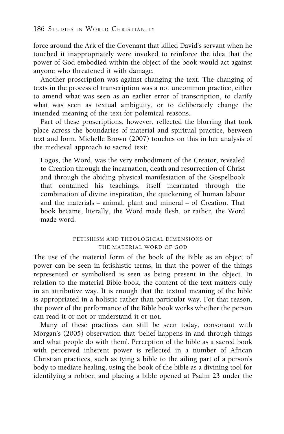force around the Ark of the Covenant that killed David's servant when he touched it inappropriately were invoked to reinforce the idea that the power of God embodied within the object of the book would act against anyone who threatened it with damage.

Another proscription was against changing the text. The changing of texts in the process of transcription was a not uncommon practice, either to amend what was seen as an earlier error of transcription, to clarify what was seen as textual ambiguity, or to deliberately change the intended meaning of the text for polemical reasons.

Part of these proscriptions, however, reflected the blurring that took place across the boundaries of material and spiritual practice, between text and form. Michelle Brown (2007) touches on this in her analysis of the medieval approach to sacred text:

Logos, the Word, was the very embodiment of the Creator, revealed to Creation through the incarnation, death and resurrection of Christ and through the abiding physical manifestation of the Gospelbook that contained his teachings, itself incarnated through the combination of divine inspiration, the quickening of human labour and the materials – animal, plant and mineral – of Creation. That book became, literally, the Word made flesh, or rather, the Word made word.

## FETISHISM AND THEOLOGICAL DIMENSIONS OF THE MATERIAL WORD OF GOD

The use of the material form of the book of the Bible as an object of power can be seen in fetishistic terms, in that the power of the things represented or symbolised is seen as being present in the object. In relation to the material Bible book, the content of the text matters only in an attributive way. It is enough that the textual meaning of the bible is appropriated in a holistic rather than particular way. For that reason, the power of the performance of the Bible book works whether the person can read it or not or understand it or not.

Many of these practices can still be seen today, consonant with Morgan's (2005) observation that 'belief happens in and through things and what people do with them'. Perception of the bible as a sacred book with perceived inherent power is reflected in a number of African Christian practices, such as tying a bible to the ailing part of a person's body to mediate healing, using the book of the bible as a divining tool for identifying a robber, and placing a bible opened at Psalm 23 under the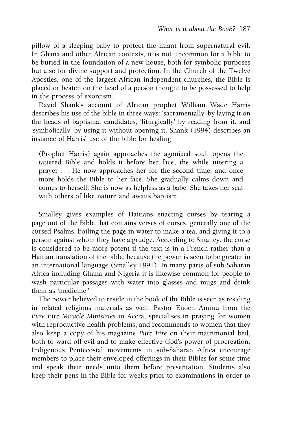pillow of a sleeping baby to protect the infant from supernatural evil. In Ghana and other African contexts, it is not uncommon for a bible to be buried in the foundation of a new house, both for symbolic purposes but also for divine support and protection. In the Church of the Twelve Apostles, one of the largest African independent churches, the Bible is placed or beaten on the head of a person thought to be possessed to help in the process of exorcism.

David Shank's account of African prophet William Wade Harris describes his use of the bible in three ways: 'sacramentally' by laying it on the heads of baptismal candidates, 'liturgically' by reading from it, and 'symbolically' by using it without opening it. Shank (1994) describes an instance of Harris' use of the bible for healing.

(Prophet Harris) again approaches the agonized soul, opens the tattered Bible and holds it before her face, the while uttering a prayer ... He now approaches her for the second time, and once more holds the Bible to her face. She gradually calms down and comes to herself. She is now as helpless as a babe. She takes her seat with others of like nature and awaits baptism.

Smalley gives examples of Haitians enacting curses by tearing a page out of the Bible that contains verses of curses, generally one of the cursed Psalms, boiling the page in water to make a tea, and giving it to a person against whom they have a grudge. According to Smalley, the curse is considered to be more potent if the text is in a French rather than a Haitian translation of the bible, because the power is seen to be greater in an international language (Smalley 1991). In many parts of sub-Saharan Africa including Ghana and Nigeria it is likewise common for people to wash particular passages with water into glasses and mugs and drink them as 'medicine.'

The power believed to reside in the book of the Bible is seen as residing in related religious materials as well. Pastor Enoch Aminu from the Pure Fire Miracle Ministries in Accra, specialises in praying for women with reproductive health problems, and recommends to women that they also keep a copy of his magazine Pure Fire on their matrimonial bed, both to ward off evil and to make effective God's power of procreation. Indigenous Pentecostal movements in sub-Saharan Africa encourage members to place their enveloped offerings in their Bibles for some time and speak their needs unto them before presentation. Students also keep their pens in the Bible for weeks prior to examinations in order to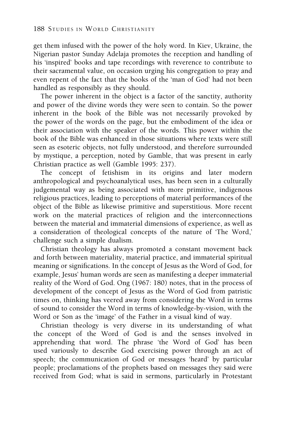get them infused with the power of the holy word. In Kiev, Ukraine, the Nigerian pastor Sunday Adelaja promotes the reception and handling of his 'inspired' books and tape recordings with reverence to contribute to their sacramental value, on occasion urging his congregation to pray and even repent of the fact that the books of the 'man of God' had not been handled as responsibly as they should.

The power inherent in the object is a factor of the sanctity, authority and power of the divine words they were seen to contain. So the power inherent in the book of the Bible was not necessarily provoked by the power of the words on the page, but the embodiment of the idea or their association with the speaker of the words. This power within the book of the Bible was enhanced in those situations where texts were still seen as esoteric objects, not fully understood, and therefore surrounded by mystique, a perception, noted by Gamble, that was present in early Christian practice as well (Gamble 1995: 237).

The concept of fetishism in its origins and later modern anthropological and psychoanalytical uses, has been seen in a culturally judgemental way as being associated with more primitive, indigenous religious practices, leading to perceptions of material performances of the object of the Bible as likewise primitive and superstitious. More recent work on the material practices of religion and the interconnections between the material and immaterial dimensions of experience, as well as a consideration of theological concepts of the nature of 'The Word,' challenge such a simple dualism.

Christian theology has always promoted a constant movement back and forth between materiality, material practice, and immaterial spiritual meaning or significations. In the concept of Jesus as the Word of God, for example, Jesus' human words are seen as manifesting a deeper immaterial reality of the Word of God. Ong (1967: 180) notes, that in the process of development of the concept of Jesus as the Word of God from patristic times on, thinking has veered away from considering the Word in terms of sound to consider the Word in terms of knowledge-by-vision, with the Word or Son as the 'image' of the Father in a visual kind of way.

Christian theology is very diverse in its understanding of what the concept of the Word of God is and the senses involved in apprehending that word. The phrase 'the Word of God' has been used variously to describe God exercising power through an act of speech; the communication of God or messages 'heard' by particular people; proclamations of the prophets based on messages they said were received from God; what is said in sermons, particularly in Protestant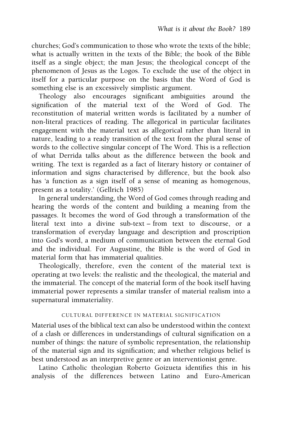churches; God's communication to those who wrote the texts of the bible; what is actually written in the texts of the Bible; the book of the Bible itself as a single object; the man Jesus; the theological concept of the phenomenon of Jesus as the Logos. To exclude the use of the object in itself for a particular purpose on the basis that the Word of God is something else is an excessively simplistic argument.

Theology also encourages significant ambiguities around the signification of the material text of the Word of God. The reconstitution of material written words is facilitated by a number of non-literal practices of reading. The allegorical in particular facilitates engagement with the material text as allegorical rather than literal in nature, leading to a ready transition of the text from the plural sense of words to the collective singular concept of The Word. This is a reflection of what Derrida talks about as the difference between the book and writing. The text is regarded as a fact of literary history or container of information and signs characterised by difference, but the book also has 'a function as a sign itself of a sense of meaning as homogenous, present as a totality.' (Gellrich 1985)

In general understanding, the Word of God comes through reading and hearing the words of the content and building a meaning from the passages. It becomes the word of God through a transformation of the literal text into a divine sub-text – from text to discourse, or a transformation of everyday language and description and proscription into God's word, a medium of communication between the eternal God and the individual. For Augustine, the Bible is the word of God in material form that has immaterial qualities.

Theologically, therefore, even the content of the material text is operating at two levels: the realistic and the theological, the material and the immaterial. The concept of the material form of the book itself having immaterial power represents a similar transfer of material realism into a supernatural immateriality.

## CULTURAL DIFFERENCE IN MATERIAL SIGNIFICATION

Material uses of the biblical text can also be understood within the context of a clash or differences in understandings of cultural signification on a number of things: the nature of symbolic representation, the relationship of the material sign and its signification; and whether religious belief is best understood as an interpretive genre or an interventionist genre.

Latino Catholic theologian Roberto Goizueta identifies this in his analysis of the differences between Latino and Euro-American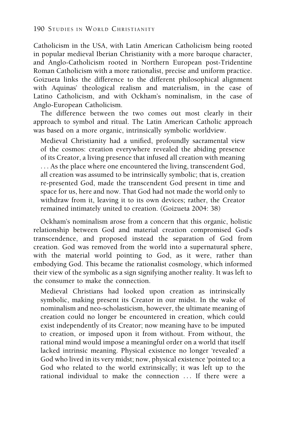Catholicism in the USA, with Latin American Catholicism being rooted in popular medieval Iberian Christianity with a more baroque character, and Anglo-Catholicism rooted in Northern European post-Tridentine Roman Catholicism with a more rationalist, precise and uniform practice. Goizueta links the difference to the different philosophical alignment with Aquinas' theological realism and materialism, in the case of Latino Catholicism, and with Ockham's nominalism, in the case of Anglo-European Catholicism.

The difference between the two comes out most clearly in their approach to symbol and ritual. The Latin American Catholic approach was based on a more organic, intrinsically symbolic worldview.

Medieval Christianity had a unified, profoundly sacramental view of the cosmos: creation everywhere revealed the abiding presence of its Creator, a living presence that infused all creation with meaning ... As the place where one encountered the living, transcendent God, all creation was assumed to be intrinsically symbolic; that is, creation re-presented God, made the transcendent God present in time and space for us, here and now. That God had not made the world only to withdraw from it, leaving it to its own devices; rather, the Creator remained intimately united to creation. (Goizueta 2004: 38)

Ockham's nominalism arose from a concern that this organic, holistic relationship between God and material creation compromised God's transcendence, and proposed instead the separation of God from creation. God was removed from the world into a supernatural sphere, with the material world pointing to God, as it were, rather than embodying God. This became the rationalist cosmology, which informed their view of the symbolic as a sign signifying another reality. It was left to the consumer to make the connection.

Medieval Christians had looked upon creation as intrinsically symbolic, making present its Creator in our midst. In the wake of nominalism and neo-scholasticism, however, the ultimate meaning of creation could no longer be encountered in creation, which could exist independently of its Creator; now meaning have to be imputed to creation, or imposed upon it from without. From without, the rational mind would impose a meaningful order on a world that itself lacked intrinsic meaning. Physical existence no longer 'revealed' a God who lived in its very midst; now, physical existence 'pointed to; a God who related to the world extrinsically; it was left up to the rational individual to make the connection ... If there were a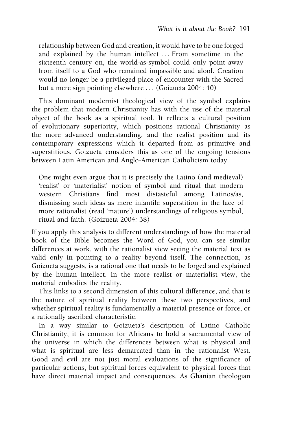relationship between God and creation, it would have to be one forged and explained by the human intellect ... From sometime in the sixteenth century on, the world-as-symbol could only point away from itself to a God who remained impassible and aloof. Creation would no longer be a privileged place of encounter with the Sacred but a mere sign pointing elsewhere ... (Goizueta 2004: 40)

This dominant modernist theological view of the symbol explains the problem that modern Christianity has with the use of the material object of the book as a spiritual tool. It reflects a cultural position of evolutionary superiority, which positions rational Christianity as the more advanced understanding, and the realist position and its contemporary expressions which it departed from as primitive and superstitious. Goizueta considers this as one of the ongoing tensions between Latin American and Anglo-American Catholicism today.

One might even argue that it is precisely the Latino (and medieval) 'realist' or 'materialist' notion of symbol and ritual that modern western Christians find most distasteful among Latinos/as, dismissing such ideas as mere infantile superstition in the face of more rationalist (read 'mature') understandings of religious symbol, ritual and faith. (Goizueta 2004: 38)

If you apply this analysis to different understandings of how the material book of the Bible becomes the Word of God, you can see similar differences at work, with the rationalist view seeing the material text as valid only in pointing to a reality beyond itself. The connection, as Goizueta suggests, is a rational one that needs to be forged and explained by the human intellect. In the more realist or materialist view, the material embodies the reality.

This links to a second dimension of this cultural difference, and that is the nature of spiritual reality between these two perspectives, and whether spiritual reality is fundamentally a material presence or force, or a rationally ascribed characteristic.

In a way similar to Goizueta's description of Latino Catholic Christianity, it is common for Africans to hold a sacramental view of the universe in which the differences between what is physical and what is spiritual are less demarcated than in the rationalist West. Good and evil are not just moral evaluations of the significance of particular actions, but spiritual forces equivalent to physical forces that have direct material impact and consequences. As Ghanian theologian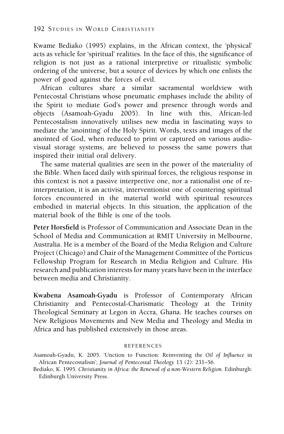Kwame Bediako (1995) explains, in the African context, the 'physical' acts as vehicle for 'spiritual' realities. In the face of this, the significance of religion is not just as a rational interpretive or ritualistic symbolic ordering of the universe, but a source of devices by which one enlists the power of good against the forces of evil.

African cultures share a similar sacramental worldview with Pentecostal Christians whose pneumatic emphases include the ability of the Spirit to mediate God's power and presence through words and objects (Asamoah-Gyadu 2005). In line with this, African-led Pentecostalism innovatively utilises new media in fascinating ways to mediate the 'anointing' of the Holy Spirit. Words, texts and images of the anointed of God, when reduced to print or captured on various audiovisual storage systems, are believed to possess the same powers that inspired their initial oral delivery.

The same material qualities are seen in the power of the materiality of the Bible. When faced daily with spiritual forces, the religious response in this context is not a passive interpretive one, nor a rationalist one of reinterpretation, it is an activist, interventionist one of countering spiritual forces encountered in the material world with spiritual resources embodied in material objects. In this situation, the application of the material book of the Bible is one of the tools.

Peter Horsfield is Professor of Communication and Associate Dean in the School of Media and Communication at RMIT University in Melbourne, Australia. He is a member of the Board of the Media Religion and Culture Project (Chicago) and Chair of the Management Committee of the Porticus Fellowship Program for Research in Media Religion and Culture. His research and publication interests for many years have been in the interface between media and Christianity.

Kwabena Asamoah-Gyadu is Professor of Contemporary African Christianity and Pentecostal-Charismatic Theology at the Trinity Theological Seminary at Legon in Accra, Ghana. He teaches courses on New Religious Movements and New Media and Theology and Media in Africa and has published extensively in those areas.

#### REFERENCES

Asamoah-Gyadu, K. 2005. 'Unction to Function: Reinventing the Oil of Influence in African Pentecostalism'; Journal of Pentecostal Theology 13 (2): 231–56.

Bediako, K. 1995. Christianity in Africa: the Renewal of a non-Western Religion. Edinburgh: Edinburgh University Press.